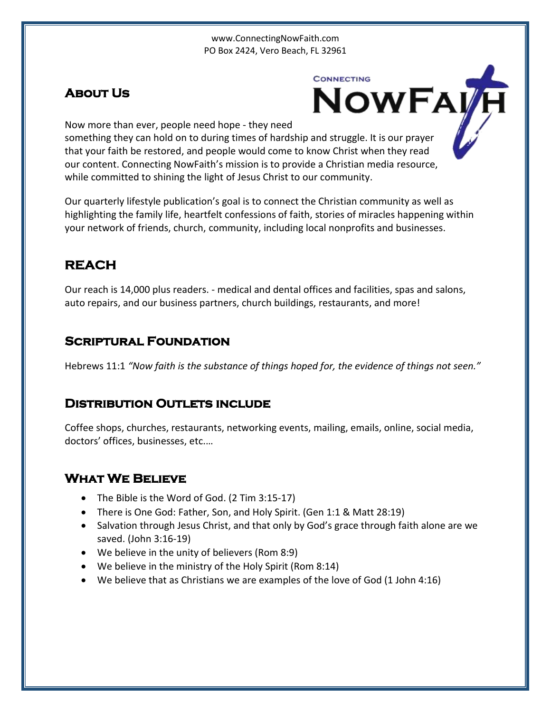#### www.ConnectingNowFaith.com PO Box 2424, Vero Beach, FL 32961

## **About Us**

**CONNECTING** NOWFAVH

Now more than ever, people need hope - they need

something they can hold on to during times of hardship and struggle. It is our prayer that your faith be restored, and people would come to know Christ when they read our content. Connecting NowFaith's mission is to provide a Christian media resource, while committed to shining the light of Jesus Christ to our community.

Our quarterly lifestyle publication's goal is to connect the Christian community as well as highlighting the family life, heartfelt confessions of faith, stories of miracles happening within your network of friends, church, community, including local nonprofits and businesses.

# **REACH**

Our reach is 14,000 plus readers. - medical and dental offices and facilities, spas and salons, auto repairs, and our business partners, church buildings, restaurants, and more!

## **Scriptural Foundation**

[Hebrews 11:1](http://www.biblica.com/en-us/bible/online-bible/niv/hebrews/11/) *"Now faith is the substance of things hoped for, the evidence of things not seen."*

## **Distribution Outlets include**

Coffee shops, churches, restaurants, networking events, mailing, emails, online, social media, doctors' offices, businesses, etc.…

## **What We Believe**

- The Bible is the Word of God. (2 Tim 3:15-17)
- There is One God: Father, Son, and Holy Spirit. (Gen 1:1 & Matt 28:19)
- Salvation through Jesus Christ, and that only by God's grace through faith alone are we saved. (John 3:16-19)
- We believe in the unity of believers (Rom 8:9)
- We believe in the ministry of the Holy Spirit (Rom 8:14)
- We believe that as Christians we are examples of the love of God (1 John 4:16)